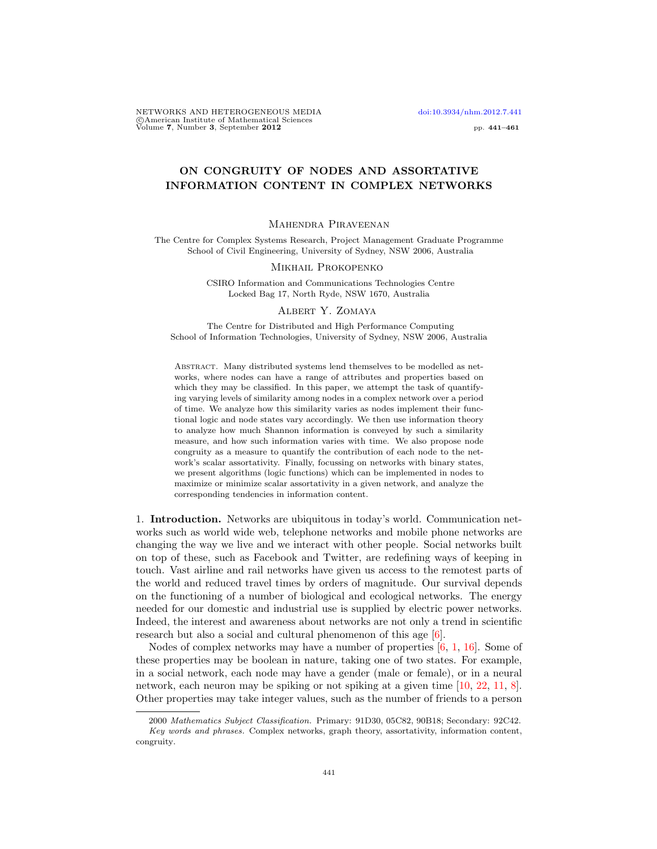NETWORKS AND HETEROGENEOUS MEDIA [doi:10.3934/nhm.2012.7.441](http://dx.doi.org/10.3934/nhm.2012.7.441) Che american Institute of Mathematical Sciences<br>
Volume 7, Number 3, September 2012 pp. 441–461

# ON CONGRUITY OF NODES AND ASSORTATIVE INFORMATION CONTENT IN COMPLEX NETWORKS

## Mahendra Piraveenan

The Centre for Complex Systems Research, Project Management Graduate Programme School of Civil Engineering, University of Sydney, NSW 2006, Australia

#### Mikhail Prokopenko

CSIRO Information and Communications Technologies Centre Locked Bag 17, North Ryde, NSW 1670, Australia

## Albert Y. Zomaya

The Centre for Distributed and High Performance Computing School of Information Technologies, University of Sydney, NSW 2006, Australia

Abstract. Many distributed systems lend themselves to be modelled as networks, where nodes can have a range of attributes and properties based on which they may be classified. In this paper, we attempt the task of quantifying varying levels of similarity among nodes in a complex network over a period of time. We analyze how this similarity varies as nodes implement their functional logic and node states vary accordingly. We then use information theory to analyze how much Shannon information is conveyed by such a similarity measure, and how such information varies with time. We also propose node congruity as a measure to quantify the contribution of each node to the network's scalar assortativity. Finally, focussing on networks with binary states, we present algorithms (logic functions) which can be implemented in nodes to maximize or minimize scalar assortativity in a given network, and analyze the corresponding tendencies in information content.

1. Introduction. Networks are ubiquitous in today's world. Communication networks such as world wide web, telephone networks and mobile phone networks are changing the way we live and we interact with other people. Social networks built on top of these, such as Facebook and Twitter, are redefining ways of keeping in touch. Vast airline and rail networks have given us access to the remotest parts of the world and reduced travel times by orders of magnitude. Our survival depends on the functioning of a number of biological and ecological networks. The energy needed for our domestic and industrial use is supplied by electric power networks. Indeed, the interest and awareness about networks are not only a trend in scientific research but also a social and cultural phenomenon of this age [\[6\]](#page-20-0).

Nodes of complex networks may have a number of properties [\[6,](#page-20-0) [1,](#page-20-1) [16\]](#page-20-2). Some of these properties may be boolean in nature, taking one of two states. For example, in a social network, each node may have a gender (male or female), or in a neural network, each neuron may be spiking or not spiking at a given time [\[10,](#page-20-3) [22,](#page-20-4) [11,](#page-20-5) [8\]](#page-20-6). Other properties may take integer values, such as the number of friends to a person

<sup>2000</sup> Mathematics Subject Classification. Primary: 91D30, 05C82, 90B18; Secondary: 92C42.

Key words and phrases. Complex networks, graph theory, assortativity, information content, congruity.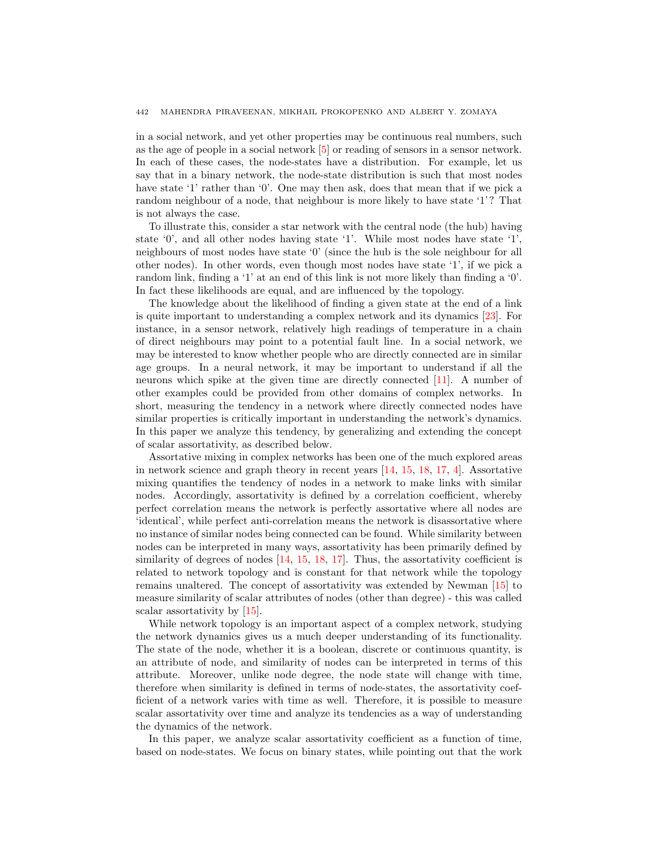in a social network, and yet other properties may be continuous real numbers, such as the age of people in a social network [\[5\]](#page-20-7) or reading of sensors in a sensor network. In each of these cases, the node-states have a distribution. For example, let us say that in a binary network, the node-state distribution is such that most nodes have state '1' rather than '0'. One may then ask, does that mean that if we pick a random neighbour of a node, that neighbour is more likely to have state '1'? That is not always the case.

To illustrate this, consider a star network with the central node (the hub) having state '0', and all other nodes having state '1'. While most nodes have state '1', neighbours of most nodes have state '0' (since the hub is the sole neighbour for all other nodes). In other words, even though most nodes have state '1', if we pick a random link, finding a '1' at an end of this link is not more likely than finding a '0'. In fact these likelihoods are equal, and are influenced by the topology.

The knowledge about the likelihood of finding a given state at the end of a link is quite important to understanding a complex network and its dynamics [\[23\]](#page-20-8). For instance, in a sensor network, relatively high readings of temperature in a chain of direct neighbours may point to a potential fault line. In a social network, we may be interested to know whether people who are directly connected are in similar age groups. In a neural network, it may be important to understand if all the neurons which spike at the given time are directly connected [\[11\]](#page-20-5). A number of other examples could be provided from other domains of complex networks. In short, measuring the tendency in a network where directly connected nodes have similar properties is critically important in understanding the network's dynamics. In this paper we analyze this tendency, by generalizing and extending the concept of scalar assortativity, as described below.

Assortative mixing in complex networks has been one of the much explored areas in network science and graph theory in recent years [\[14,](#page-20-9) [15,](#page-20-10) [18,](#page-20-11) [17,](#page-20-12) [4\]](#page-20-13). Assortative mixing quantifies the tendency of nodes in a network to make links with similar nodes. Accordingly, assortativity is defined by a correlation coefficient, whereby perfect correlation means the network is perfectly assortative where all nodes are 'identical', while perfect anti-correlation means the network is disassortative where no instance of similar nodes being connected can be found. While similarity between nodes can be interpreted in many ways, assortativity has been primarily defined by similarity of degrees of nodes  $[14, 15, 18, 17]$  $[14, 15, 18, 17]$  $[14, 15, 18, 17]$  $[14, 15, 18, 17]$  $[14, 15, 18, 17]$  $[14, 15, 18, 17]$  $[14, 15, 18, 17]$ . Thus, the assortativity coefficient is related to network topology and is constant for that network while the topology remains unaltered. The concept of assortativity was extended by Newman [\[15\]](#page-20-10) to measure similarity of scalar attributes of nodes (other than degree) - this was called scalar assortativity by [\[15\]](#page-20-10).

While network topology is an important aspect of a complex network, studying the network dynamics gives us a much deeper understanding of its functionality. The state of the node, whether it is a boolean, discrete or continuous quantity, is an attribute of node, and similarity of nodes can be interpreted in terms of this attribute. Moreover, unlike node degree, the node state will change with time, therefore when similarity is defined in terms of node-states, the assortativity coefficient of a network varies with time as well. Therefore, it is possible to measure scalar assortativity over time and analyze its tendencies as a way of understanding the dynamics of the network.

In this paper, we analyze scalar assortativity coefficient as a function of time, based on node-states. We focus on binary states, while pointing out that the work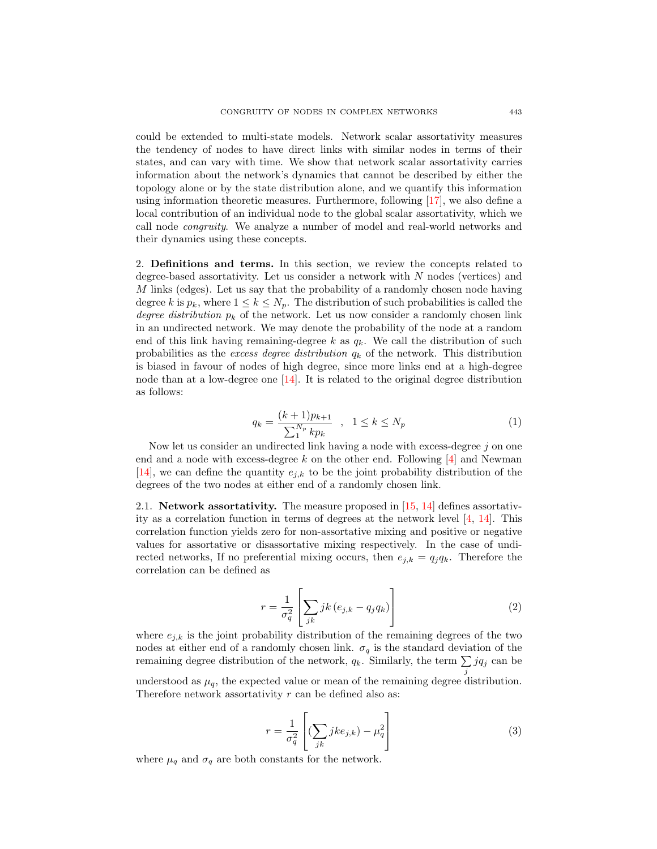could be extended to multi-state models. Network scalar assortativity measures the tendency of nodes to have direct links with similar nodes in terms of their states, and can vary with time. We show that network scalar assortativity carries information about the network's dynamics that cannot be described by either the topology alone or by the state distribution alone, and we quantify this information using information theoretic measures. Furthermore, following [\[17\]](#page-20-12), we also define a local contribution of an individual node to the global scalar assortativity, which we call node congruity. We analyze a number of model and real-world networks and their dynamics using these concepts.

2. Definitions and terms. In this section, we review the concepts related to degree-based assortativity. Let us consider a network with  $N$  nodes (vertices) and M links (edges). Let us say that the probability of a randomly chosen node having degree k is  $p_k$ , where  $1 \leq k \leq N_p$ . The distribution of such probabilities is called the degree distribution  $p_k$  of the network. Let us now consider a randomly chosen link in an undirected network. We may denote the probability of the node at a random end of this link having remaining-degree  $k$  as  $q_k$ . We call the distribution of such probabilities as the excess degree distribution  $q_k$  of the network. This distribution is biased in favour of nodes of high degree, since more links end at a high-degree node than at a low-degree one [\[14\]](#page-20-9). It is related to the original degree distribution as follows:

$$
q_k = \frac{(k+1)p_{k+1}}{\sum_{1}^{N_p} k p_k} \quad , \quad 1 \le k \le N_p \tag{1}
$$

Now let us consider an undirected link having a node with excess-degree  $j$  on one end and a node with excess-degree k on the other end. Following  $[4]$  and Newman [\[14\]](#page-20-9), we can define the quantity  $e_{i,k}$  to be the joint probability distribution of the degrees of the two nodes at either end of a randomly chosen link.

2.1. **Network assortativity.** The measure proposed in  $[15, 14]$  $[15, 14]$  $[15, 14]$  defines assortativity as a correlation function in terms of degrees at the network level [\[4,](#page-20-13) [14\]](#page-20-9). This correlation function yields zero for non-assortative mixing and positive or negative values for assortative or disassortative mixing respectively. In the case of undirected networks, If no preferential mixing occurs, then  $e_{i,k} = q_i q_k$ . Therefore the correlation can be defined as

$$
r = \frac{1}{\sigma_q^2} \left[ \sum_{jk} jk \left( e_{j,k} - q_j q_k \right) \right]
$$
 (2)

where  $e_{j,k}$  is the joint probability distribution of the remaining degrees of the two nodes at either end of a randomly chosen link.  $\sigma_q$  is the standard deviation of the remaining degree distribution of the network,  $q_k$ . Similarly, the term  $\sum j q_j$  can be j understood as  $\mu_q$ , the expected value or mean of the remaining degree distribution. Therefore network assortativity  $r$  can be defined also as:

$$
r = \frac{1}{\sigma_q^2} \left[ \left( \sum_{jk} j k e_{j,k} \right) - \mu_q^2 \right]
$$
 (3)

where  $\mu_q$  and  $\sigma_q$  are both constants for the network.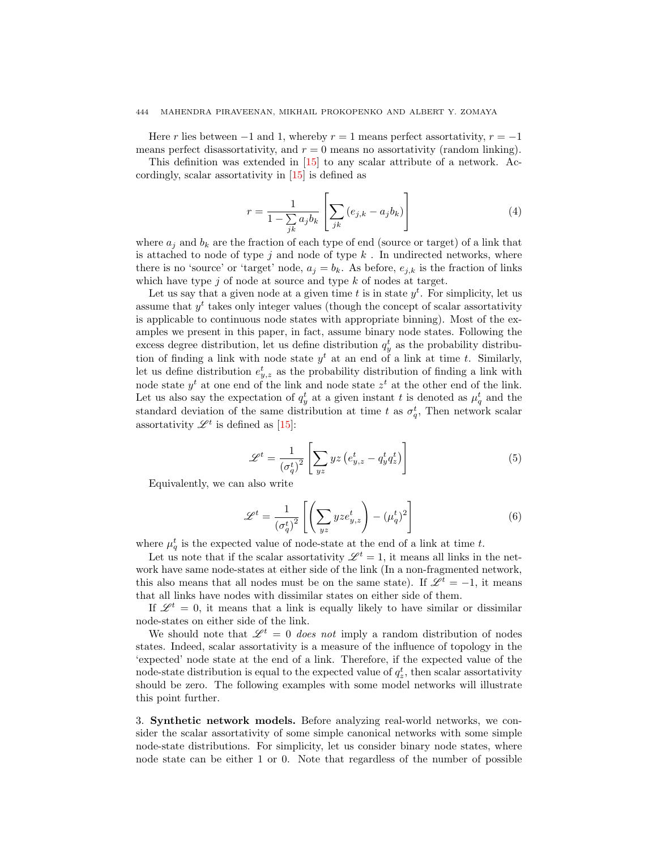## 444 MAHENDRA PIRAVEENAN, MIKHAIL PROKOPENKO AND ALBERT Y. ZOMAYA

Here r lies between  $-1$  and 1, whereby  $r = 1$  means perfect assortativity,  $r = -1$ means perfect disassortativity, and  $r = 0$  means no assortativity (random linking).

This definition was extended in [\[15\]](#page-20-10) to any scalar attribute of a network. Accordingly, scalar assortativity in [\[15\]](#page-20-10) is defined as

$$
r = \frac{1}{1 - \sum_{jk} a_j b_k} \left[ \sum_{jk} \left( e_{j,k} - a_j b_k \right) \right]
$$
 (4)

where  $a_i$  and  $b_k$  are the fraction of each type of end (source or target) of a link that is attached to node of type  $j$  and node of type  $k$ . In undirected networks, where there is no 'source' or 'target' node,  $a_j = b_k$ . As before,  $e_{j,k}$  is the fraction of links which have type  $j$  of node at source and type  $k$  of nodes at target.

Let us say that a given node at a given time t is in state  $y<sup>t</sup>$ . For simplicity, let us assume that  $y<sup>t</sup>$  takes only integer values (though the concept of scalar assortativity is applicable to continuous node states with appropriate binning). Most of the examples we present in this paper, in fact, assume binary node states. Following the excess degree distribution, let us define distribution  $q_y^t$  as the probability distribution of finding a link with node state  $y<sup>t</sup>$  at an end of a link at time t. Similarly, let us define distribution  $e_{y,z}^t$  as the probability distribution of finding a link with node state  $y^t$  at one end of the link and node state  $z^t$  at the other end of the link. Let us also say the expectation of  $q_y^t$  at a given instant t is denoted as  $\mu_q^t$  and the standard deviation of the same distribution at time t as  $\sigma_q^t$ , Then network scalar assortativity  $\mathscr{L}^t$  is defined as [\[15\]](#page-20-10):

$$
\mathcal{L}^t = \frac{1}{\left(\sigma_q^t\right)^2} \left[ \sum_{yz} yz \left( e_{y,z}^t - q_y^t q_z^t \right) \right] \tag{5}
$$

Equivalently, we can also write

$$
\mathscr{L}^t = \frac{1}{\left(\sigma_q^t\right)^2} \left[ \left( \sum_{yz} yze_{y,z}^t \right) - \left(\mu_q^t\right)^2 \right] \tag{6}
$$

where  $\mu_q^t$  is the expected value of node-state at the end of a link at time t.

Let us note that if the scalar assortativity  $\mathscr{L}^t = 1$ , it means all links in the network have same node-states at either side of the link (In a non-fragmented network, this also means that all nodes must be on the same state). If  $\mathscr{L}^t = -1$ , it means that all links have nodes with dissimilar states on either side of them.

If  $\mathscr{L}^t = 0$ , it means that a link is equally likely to have similar or dissimilar node-states on either side of the link.

We should note that  $\mathscr{L}^t = 0$  does not imply a random distribution of nodes states. Indeed, scalar assortativity is a measure of the influence of topology in the 'expected' node state at the end of a link. Therefore, if the expected value of the node-state distribution is equal to the expected value of  $q_z^t$ , then scalar assortativity should be zero. The following examples with some model networks will illustrate this point further.

3. Synthetic network models. Before analyzing real-world networks, we consider the scalar assortativity of some simple canonical networks with some simple node-state distributions. For simplicity, let us consider binary node states, where node state can be either 1 or 0. Note that regardless of the number of possible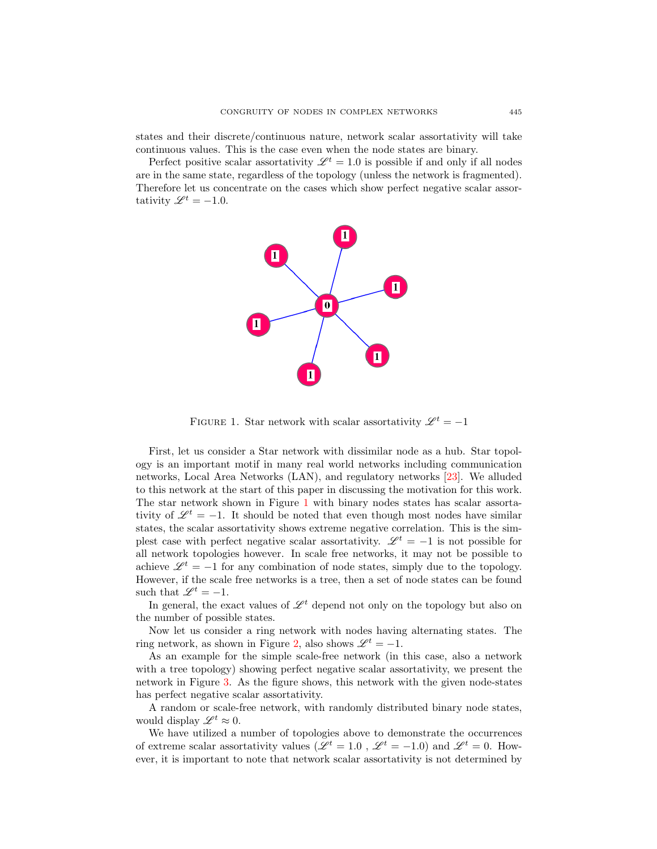states and their discrete/continuous nature, network scalar assortativity will take continuous values. This is the case even when the node states are binary.

Perfect positive scalar assortativity  $\mathcal{L}^{t} = 1.0$  is possible if and only if all nodes are in the same state, regardless of the topology (unless the network is fragmented). Therefore let us concentrate on the cases which show perfect negative scalar assortativity  $\mathscr{L}^{t} = -1.0$ .



<span id="page-4-0"></span>FIGURE 1. Star network with scalar assortativity  $\mathscr{L}^t = -1$ 

First, let us consider a Star network with dissimilar node as a hub. Star topology is an important motif in many real world networks including communication networks, Local Area Networks (LAN), and regulatory networks [\[23\]](#page-20-8). We alluded to this network at the start of this paper in discussing the motivation for this work. The star network shown in Figure [1](#page-4-0) with binary nodes states has scalar assortativity of  $\mathscr{L}^t = -1$ . It should be noted that even though most nodes have similar states, the scalar assortativity shows extreme negative correlation. This is the simplest case with perfect negative scalar assortativity.  $\mathscr{L}^t = -1$  is not possible for all network topologies however. In scale free networks, it may not be possible to achieve  $\mathcal{L}^t = -1$  for any combination of node states, simply due to the topology. However, if the scale free networks is a tree, then a set of node states can be found such that  $\mathscr{L}^t = -1$ .

In general, the exact values of  $\mathscr{L}^t$  depend not only on the topology but also on the number of possible states.

Now let us consider a ring network with nodes having alternating states. The ring network, as shown in Figure [2,](#page-5-0) also shows  $\mathscr{L}^t = -1$ .

As an example for the simple scale-free network (in this case, also a network with a tree topology) showing perfect negative scalar assortativity, we present the network in Figure [3.](#page-5-1) As the figure shows, this network with the given node-states has perfect negative scalar assortativity.

A random or scale-free network, with randomly distributed binary node states, would display  $\mathscr{L}^t \approx 0$ .

We have utilized a number of topologies above to demonstrate the occurrences of extreme scalar assortativity values ( $\mathscr{L}^t = 1.0$ ,  $\mathscr{L}^t = -1.0$ ) and  $\mathscr{L}^t = 0$ . However, it is important to note that network scalar assortativity is not determined by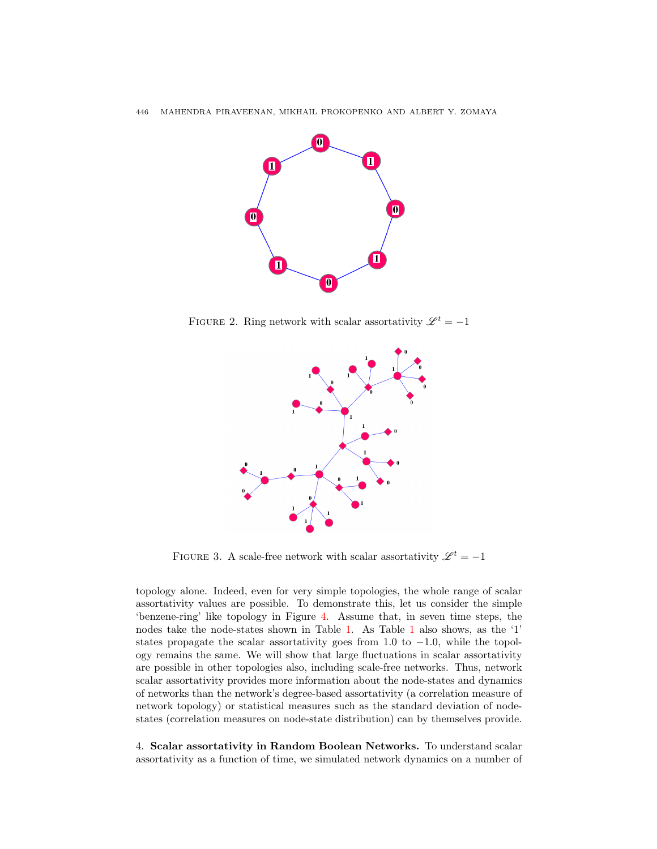

FIGURE 2. Ring network with scalar assortativity  $\mathscr{L}^t = -1$ 

<span id="page-5-0"></span>

<span id="page-5-1"></span>FIGURE 3. A scale-free network with scalar assortativity  $\mathscr{L}^t = -1$ 

topology alone. Indeed, even for very simple topologies, the whole range of scalar assortativity values are possible. To demonstrate this, let us consider the simple 'benzene-ring' like topology in Figure [4.](#page-6-0) Assume that, in seven time steps, the nodes take the node-states shown in Table [1.](#page-6-1) As Table [1](#page-6-1) also shows, as the '1' states propagate the scalar assortativity goes from 1.0 to  $-1.0$ , while the topology remains the same. We will show that large fluctuations in scalar assortativity are possible in other topologies also, including scale-free networks. Thus, network scalar assortativity provides more information about the node-states and dynamics of networks than the network's degree-based assortativity (a correlation measure of network topology) or statistical measures such as the standard deviation of nodestates (correlation measures on node-state distribution) can by themselves provide.

4. Scalar assortativity in Random Boolean Networks. To understand scalar assortativity as a function of time, we simulated network dynamics on a number of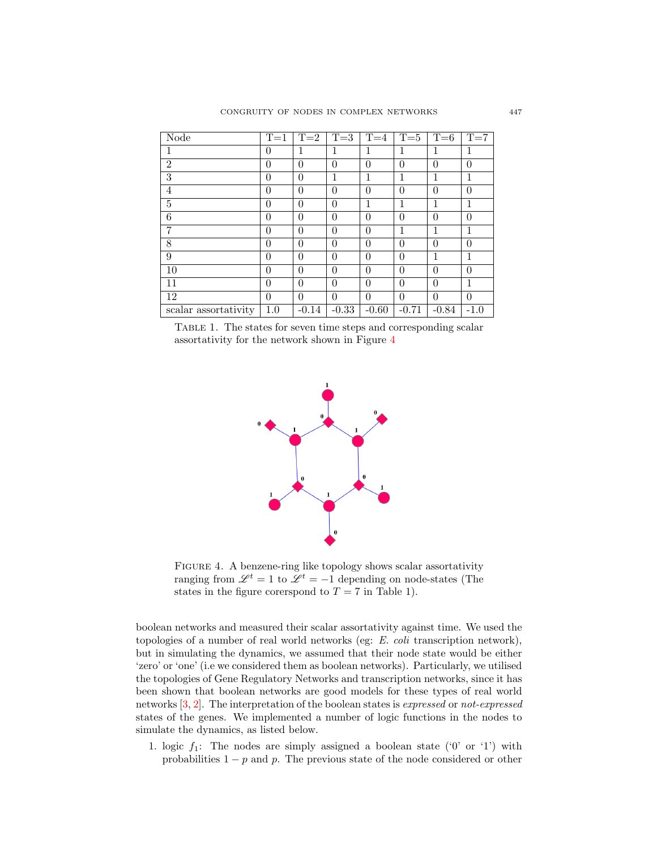| <b>Node</b>          | $T=1$          | $T=2$    | $T=3$    | $T=4$    | $T=5$        | $T=6$    | $T=7$    |
|----------------------|----------------|----------|----------|----------|--------------|----------|----------|
| 1                    | $\theta$       | 1        | 1        | 1        | 1            | 1        | 1        |
| $\overline{2}$       | $\overline{0}$ | $\theta$ | $\theta$ | $\theta$ | $\theta$     | $\theta$ | $\theta$ |
| 3                    | $\theta$       | $\theta$ | 1        | 1        | 1            | 1        | 1        |
| $\overline{4}$       | $\theta$       | $\Omega$ | $\theta$ | $\Omega$ | $\theta$     | $\theta$ | $\Omega$ |
| 5                    | $\theta$       | $\theta$ | $\theta$ | 1        | $\mathbf{1}$ | 1        | 1        |
| 6                    | $\theta$       | 0        | $\theta$ | $\theta$ | $\theta$     | $\theta$ | $\theta$ |
| 7                    | $\theta$       | $\theta$ | $\theta$ | $\Omega$ | $\mathbf{1}$ | 1        | 1        |
| 8                    | $\theta$       | $\theta$ | $\theta$ | $\theta$ | $\theta$     | $\theta$ | $\Omega$ |
| 9                    | $\theta$       | $\theta$ | $\theta$ | $\theta$ | $\theta$     | 1        | 1        |
| 10                   | $\theta$       | $\theta$ | $\theta$ | $\theta$ | $\theta$     | $\theta$ | $\Omega$ |
| 11                   | $\theta$       | $\theta$ | $\theta$ | $\theta$ | $\theta$     | $\theta$ | 1        |
| 12                   | $\theta$       | $\theta$ | $\Omega$ | $\Omega$ | $\theta$     | $\theta$ | $\theta$ |
| scalar assortativity | 1.0            | $-0.14$  | $-0.33$  | $-0.60$  | $-0.71$      | $-0.84$  | $-1.0$   |

<span id="page-6-1"></span>Table 1. The states for seven time steps and corresponding scalar assortativity for the network shown in Figure [4](#page-6-0)



<span id="page-6-0"></span>Figure 4. A benzene-ring like topology shows scalar assortativity ranging from  $\mathscr{L}^t = 1$  to  $\mathscr{L}^t = -1$  depending on node-states (The states in the figure corerspond to  $T = 7$  in Table 1).

boolean networks and measured their scalar assortativity against time. We used the topologies of a number of real world networks (eg: E. coli transcription network), but in simulating the dynamics, we assumed that their node state would be either 'zero' or 'one' (i.e we considered them as boolean networks). Particularly, we utilised the topologies of Gene Regulatory Networks and transcription networks, since it has been shown that boolean networks are good models for these types of real world networks [\[3,](#page-20-14) [2\]](#page-20-15). The interpretation of the boolean states is expressed or not-expressed states of the genes. We implemented a number of logic functions in the nodes to simulate the dynamics, as listed below.

1. logic  $f_1$ : The nodes are simply assigned a boolean state ('0' or '1') with probabilities  $1 - p$  and p. The previous state of the node considered or other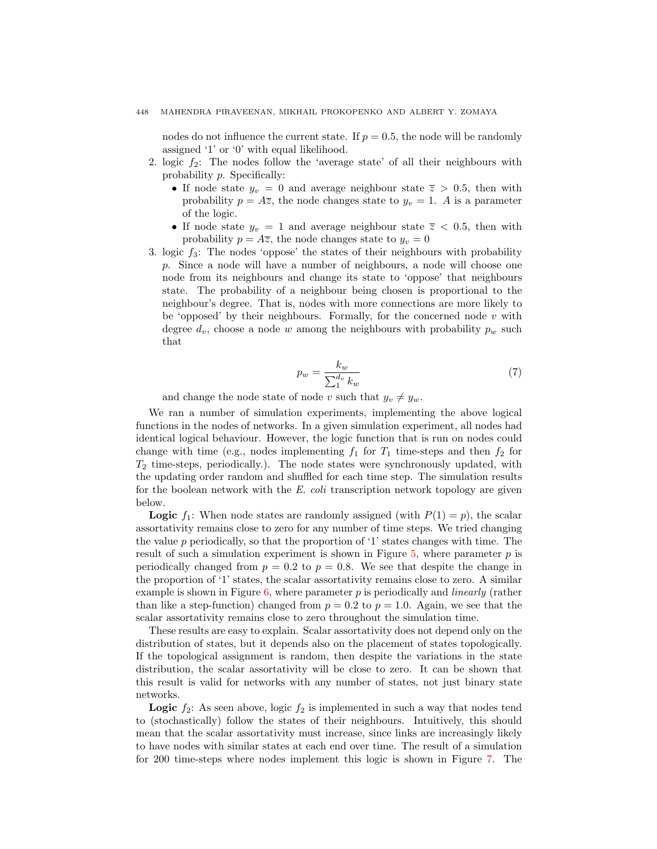nodes do not influence the current state. If  $p = 0.5$ , the node will be randomly assigned '1' or '0' with equal likelihood.

- 2. logic  $f_2$ : The nodes follow the 'average state' of all their neighbours with probability p. Specifically:
	- If node state  $y_v = 0$  and average neighbour state  $\overline{z} > 0.5$ , then with probability  $p = A\overline{z}$ , the node changes state to  $y_v = 1$ . A is a parameter of the logic.
	- If node state  $y_v = 1$  and average neighbour state  $\overline{z} < 0.5$ , then with probability  $p = A\overline{z}$ , the node changes state to  $y_v = 0$
- 3. logic  $f_3$ : The nodes 'oppose' the states of their neighbours with probability p. Since a node will have a number of neighbours, a node will choose one node from its neighbours and change its state to 'oppose' that neighbours state. The probability of a neighbour being chosen is proportional to the neighbour's degree. That is, nodes with more connections are more likely to be 'opposed' by their neighbours. Formally, for the concerned node  $v$  with degree  $d_v$ , choose a node w among the neighbours with probability  $p_w$  such that

$$
p_w = \frac{k_w}{\sum_1^{d_v} k_w} \tag{7}
$$

and change the node state of node v such that  $y_v \neq y_w$ .

We ran a number of simulation experiments, implementing the above logical functions in the nodes of networks. In a given simulation experiment, all nodes had identical logical behaviour. However, the logic function that is run on nodes could change with time (e.g., nodes implementing  $f_1$  for  $T_1$  time-steps and then  $f_2$  for  $T_2$  time-steps, periodically.). The node states were synchronously updated, with the updating order random and shuffled for each time step. The simulation results for the boolean network with the E. coli transcription network topology are given below.

**Logic**  $f_1$ : When node states are randomly assigned (with  $P(1) = p$ ), the scalar assortativity remains close to zero for any number of time steps. We tried changing the value  $p$  periodically, so that the proportion of '1' states changes with time. The result of such a simulation experiment is shown in Figure  $5$ , where parameter  $p$  is periodically changed from  $p = 0.2$  to  $p = 0.8$ . We see that despite the change in the proportion of '1' states, the scalar assortativity remains close to zero. A similar example is shown in Figure [6,](#page-9-0) where parameter  $p$  is periodically and *linearly* (rather than like a step-function) changed from  $p = 0.2$  to  $p = 1.0$ . Again, we see that the scalar assortativity remains close to zero throughout the simulation time.

These results are easy to explain. Scalar assortativity does not depend only on the distribution of states, but it depends also on the placement of states topologically. If the topological assignment is random, then despite the variations in the state distribution, the scalar assortativity will be close to zero. It can be shown that this result is valid for networks with any number of states, not just binary state networks.

**Logic**  $f_2$ : As seen above, logic  $f_2$  is implemented in such a way that nodes tend to (stochastically) follow the states of their neighbours. Intuitively, this should mean that the scalar assortativity must increase, since links are increasingly likely to have nodes with similar states at each end over time. The result of a simulation for 200 time-steps where nodes implement this logic is shown in Figure [7.](#page-9-1) The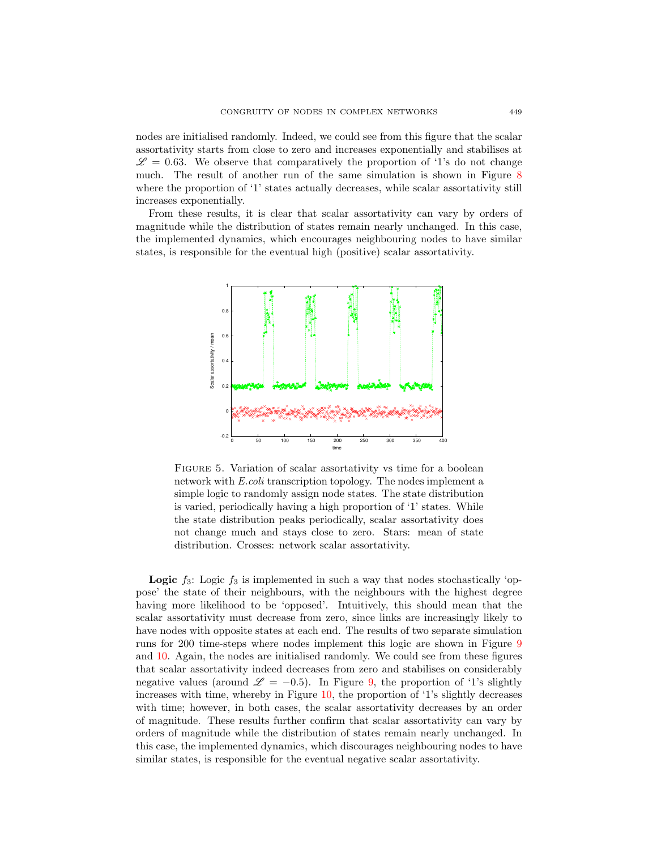nodes are initialised randomly. Indeed, we could see from this figure that the scalar assortativity starts from close to zero and increases exponentially and stabilises at  $\mathscr{L} = 0.63$ . We observe that comparatively the proportion of '1's do not change much. The result of another run of the same simulation is shown in Figure [8](#page-10-0) where the proportion of '1' states actually decreases, while scalar assortativity still increases exponentially.

From these results, it is clear that scalar assortativity can vary by orders of magnitude while the distribution of states remain nearly unchanged. In this case, the implemented dynamics, which encourages neighbouring nodes to have similar states, is responsible for the eventual high (positive) scalar assortativity.



<span id="page-8-0"></span>FIGURE 5. Variation of scalar assortativity vs time for a boolean network with E.coli transcription topology. The nodes implement a simple logic to randomly assign node states. The state distribution is varied, periodically having a high proportion of '1' states. While the state distribution peaks periodically, scalar assortativity does not change much and stays close to zero. Stars: mean of state distribution. Crosses: network scalar assortativity.

**Logic**  $f_3$ : Logic  $f_3$  is implemented in such a way that nodes stochastically 'oppose' the state of their neighbours, with the neighbours with the highest degree having more likelihood to be 'opposed'. Intuitively, this should mean that the scalar assortativity must decrease from zero, since links are increasingly likely to have nodes with opposite states at each end. The results of two separate simulation runs for 200 time-steps where nodes implement this logic are shown in Figure [9](#page-10-1) and [10.](#page-11-0) Again, the nodes are initialised randomly. We could see from these figures that scalar assortativity indeed decreases from zero and stabilises on considerably negative values (around  $\mathscr{L} = -0.5$ ). In Figure [9,](#page-10-1) the proportion of '1's slightly increases with time, whereby in Figure [10,](#page-11-0) the proportion of '1's slightly decreases with time; however, in both cases, the scalar assortativity decreases by an order of magnitude. These results further confirm that scalar assortativity can vary by orders of magnitude while the distribution of states remain nearly unchanged. In this case, the implemented dynamics, which discourages neighbouring nodes to have similar states, is responsible for the eventual negative scalar assortativity.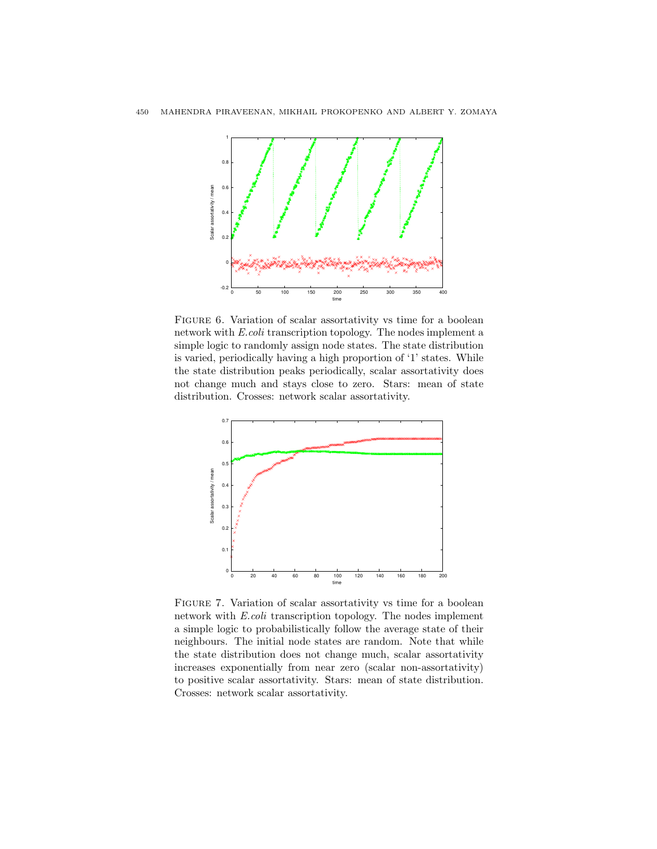

<span id="page-9-0"></span>FIGURE 6. Variation of scalar assortativity vs time for a boolean network with E.coli transcription topology. The nodes implement a simple logic to randomly assign node states. The state distribution is varied, periodically having a high proportion of '1' states. While the state distribution peaks periodically, scalar assortativity does not change much and stays close to zero. Stars: mean of state distribution. Crosses: network scalar assortativity.



<span id="page-9-1"></span>Figure 7. Variation of scalar assortativity vs time for a boolean network with E.coli transcription topology. The nodes implement a simple logic to probabilistically follow the average state of their neighbours. The initial node states are random. Note that while the state distribution does not change much, scalar assortativity increases exponentially from near zero (scalar non-assortativity) to positive scalar assortativity. Stars: mean of state distribution. Crosses: network scalar assortativity.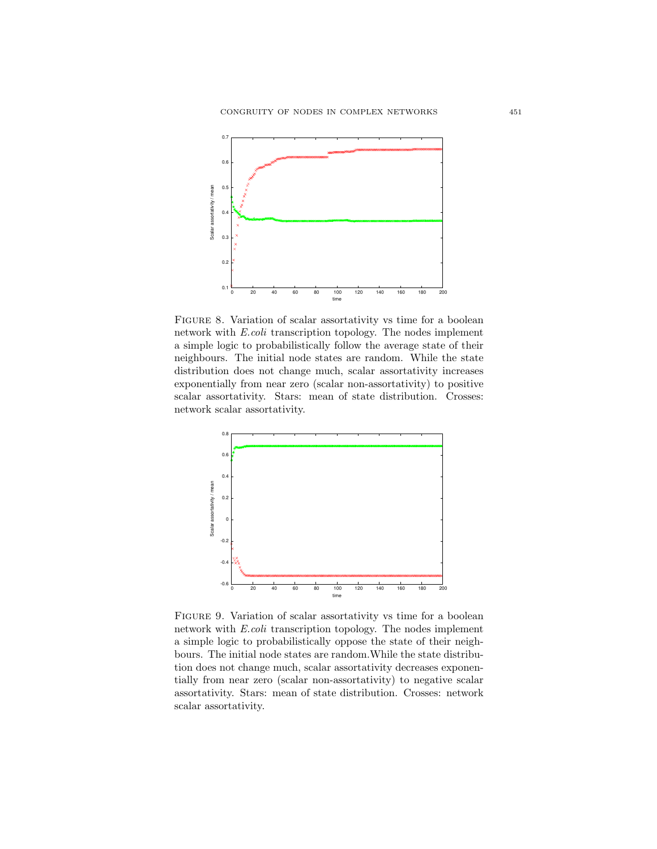

<span id="page-10-0"></span>FIGURE 8. Variation of scalar assortativity vs time for a boolean network with E.coli transcription topology. The nodes implement a simple logic to probabilistically follow the average state of their neighbours. The initial node states are random. While the state distribution does not change much, scalar assortativity increases exponentially from near zero (scalar non-assortativity) to positive scalar assortativity. Stars: mean of state distribution. Crosses: network scalar assortativity.



<span id="page-10-1"></span>FIGURE 9. Variation of scalar assortativity vs time for a boolean network with E.coli transcription topology. The nodes implement a simple logic to probabilistically oppose the state of their neighbours. The initial node states are random.While the state distribution does not change much, scalar assortativity decreases exponentially from near zero (scalar non-assortativity) to negative scalar assortativity. Stars: mean of state distribution. Crosses: network scalar assortativity.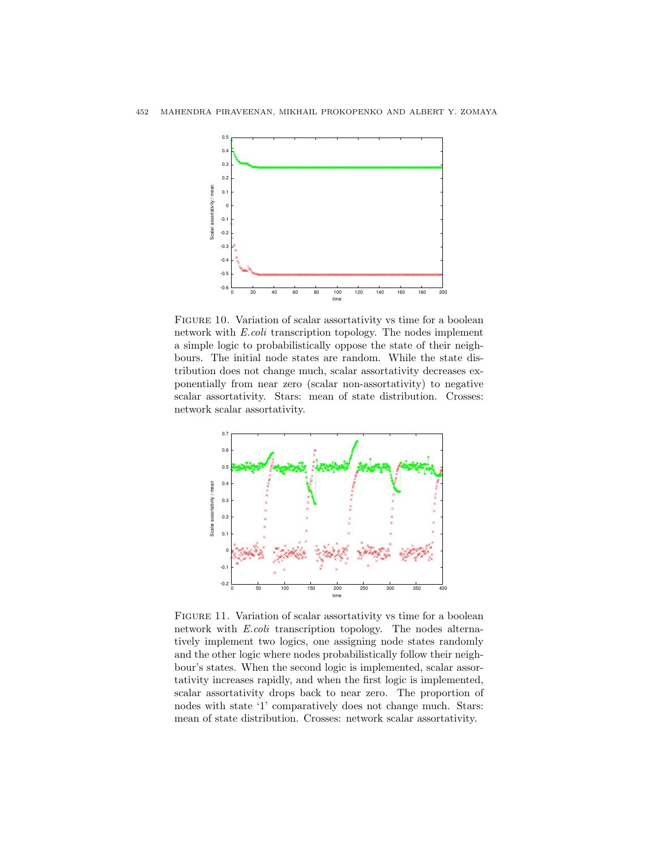

<span id="page-11-0"></span>FIGURE 10. Variation of scalar assortativity vs time for a boolean network with E.coli transcription topology. The nodes implement a simple logic to probabilistically oppose the state of their neighbours. The initial node states are random. While the state distribution does not change much, scalar assortativity decreases exponentially from near zero (scalar non-assortativity) to negative scalar assortativity. Stars: mean of state distribution. Crosses: network scalar assortativity.



<span id="page-11-1"></span>FIGURE 11. Variation of scalar assortativity vs time for a boolean network with E.coli transcription topology. The nodes alternatively implement two logics, one assigning node states randomly and the other logic where nodes probabilistically follow their neighbour's states. When the second logic is implemented, scalar assortativity increases rapidly, and when the first logic is implemented, scalar assortativity drops back to near zero. The proportion of nodes with state '1' comparatively does not change much. Stars: mean of state distribution. Crosses: network scalar assortativity.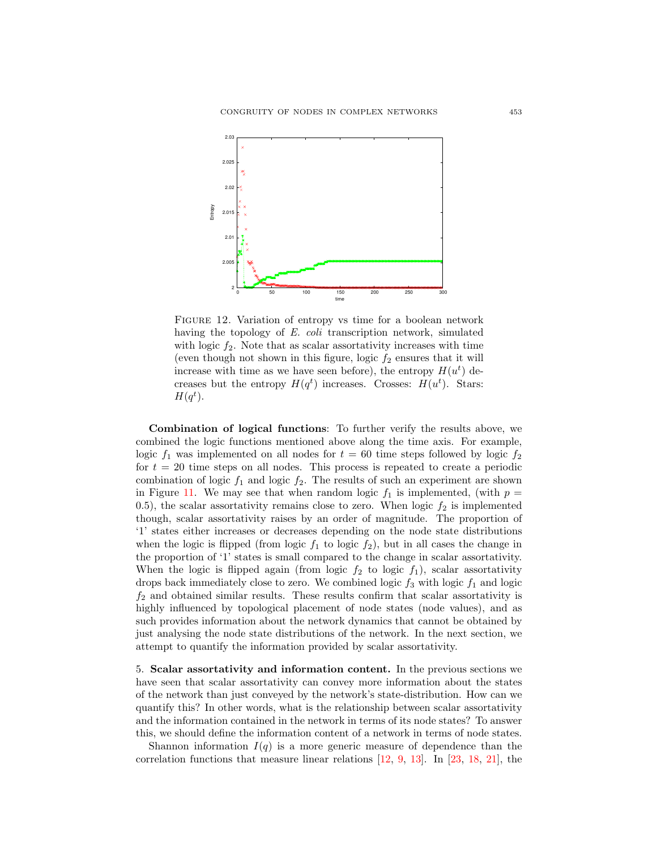

<span id="page-12-0"></span>FIGURE 12. Variation of entropy vs time for a boolean network having the topology of E. coli transcription network, simulated with logic  $f_2$ . Note that as scalar assortativity increases with time (even though not shown in this figure, logic  $f_2$  ensures that it will increase with time as we have seen before), the entropy  $H(u<sup>t</sup>)$  decreases but the entropy  $H(q^t)$  increases. Crosses:  $H(u^t)$ . Stars:  $H(q^t)$ .

Combination of logical functions: To further verify the results above, we combined the logic functions mentioned above along the time axis. For example, logic  $f_1$  was implemented on all nodes for  $t = 60$  time steps followed by logic  $f_2$ for  $t = 20$  time steps on all nodes. This process is repeated to create a periodic combination of logic  $f_1$  and logic  $f_2$ . The results of such an experiment are shown in Figure [11.](#page-11-1) We may see that when random logic  $f_1$  is implemented, (with  $p =$ 0.5), the scalar assortativity remains close to zero. When logic  $f_2$  is implemented though, scalar assortativity raises by an order of magnitude. The proportion of '1' states either increases or decreases depending on the node state distributions when the logic is flipped (from logic  $f_1$  to logic  $f_2$ ), but in all cases the change in the proportion of '1' states is small compared to the change in scalar assortativity. When the logic is flipped again (from logic  $f_2$  to logic  $f_1$ ), scalar assortativity drops back immediately close to zero. We combined logic  $f_3$  with logic  $f_1$  and logic  $f_2$  and obtained similar results. These results confirm that scalar assortativity is highly influenced by topological placement of node states (node values), and as such provides information about the network dynamics that cannot be obtained by just analysing the node state distributions of the network. In the next section, we attempt to quantify the information provided by scalar assortativity.

5. Scalar assortativity and information content. In the previous sections we have seen that scalar assortativity can convey more information about the states of the network than just conveyed by the network's state-distribution. How can we quantify this? In other words, what is the relationship between scalar assortativity and the information contained in the network in terms of its node states? To answer this, we should define the information content of a network in terms of node states.

Shannon information  $I(q)$  is a more generic measure of dependence than the correlation functions that measure linear relations  $[12, 9, 13]$  $[12, 9, 13]$  $[12, 9, 13]$  $[12, 9, 13]$  $[12, 9, 13]$ . In  $[23, 18, 21]$  $[23, 18, 21]$  $[23, 18, 21]$  $[23, 18, 21]$  $[23, 18, 21]$ , the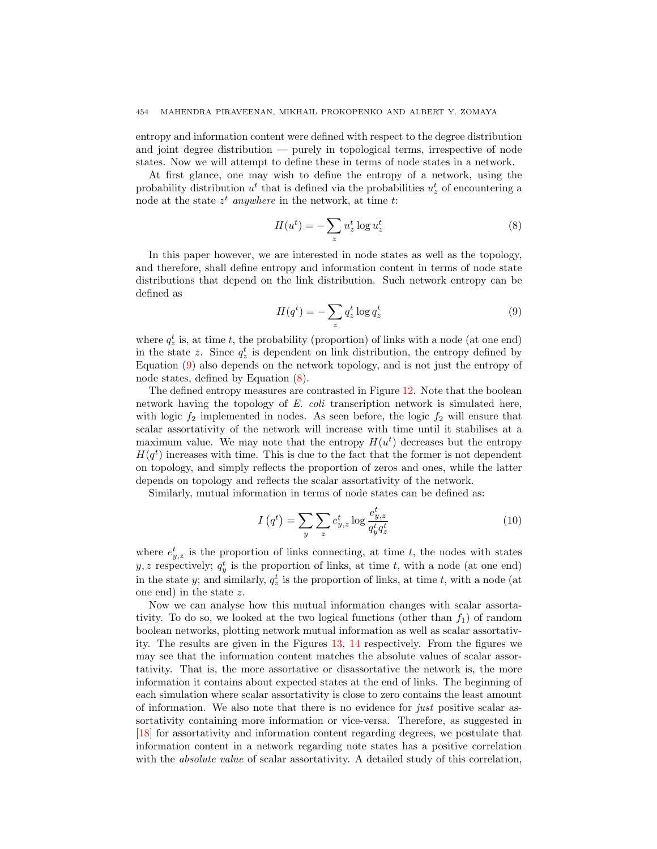entropy and information content were defined with respect to the degree distribution and joint degree distribution — purely in topological terms, irrespective of node states. Now we will attempt to define these in terms of node states in a network.

At first glance, one may wish to define the entropy of a network, using the probability distribution  $u^t$  that is defined via the probabilities  $u^t_z$  of encountering a node at the state  $z^t$  anywhere in the network, at time t:

<span id="page-13-1"></span>
$$
H(u^t) = -\sum_{z} u_z^t \log u_z^t \tag{8}
$$

In this paper however, we are interested in node states as well as the topology, and therefore, shall define entropy and information content in terms of node state distributions that depend on the link distribution. Such network entropy can be defined as

<span id="page-13-0"></span>
$$
H(q^t) = -\sum_{z} q_z^t \log q_z^t \tag{9}
$$

where  $q_z^t$  is, at time t, the probability (proportion) of links with a node (at one end) in the state z. Since  $q_z^t$  is dependent on link distribution, the entropy defined by Equation [\(9\)](#page-13-0) also depends on the network topology, and is not just the entropy of node states, defined by Equation [\(8\)](#page-13-1).

The defined entropy measures are contrasted in Figure [12.](#page-12-0) Note that the boolean network having the topology of E. coli transcription network is simulated here, with logic  $f_2$  implemented in nodes. As seen before, the logic  $f_2$  will ensure that scalar assortativity of the network will increase with time until it stabilises at a maximum value. We may note that the entropy  $H(u<sup>t</sup>)$  decreases but the entropy  $H(q<sup>t</sup>)$  increases with time. This is due to the fact that the former is not dependent on topology, and simply reflects the proportion of zeros and ones, while the latter depends on topology and reflects the scalar assortativity of the network.

Similarly, mutual information in terms of node states can be defined as:

$$
I\left(q^{t}\right) = \sum_{y} \sum_{z} e_{y,z}^{t} \log \frac{e_{y,z}^{t}}{q_{y}^{t} q_{z}^{t}} \tag{10}
$$

where  $e_{y,z}^t$  is the proportion of links connecting, at time t, the nodes with states  $y, z$  respectively;  $q_y^t$  is the proportion of links, at time t, with a node (at one end) in the state y; and similarly,  $q_z^t$  is the proportion of links, at time t, with a node (at one end) in the state z.

Now we can analyse how this mutual information changes with scalar assortativity. To do so, we looked at the two logical functions (other than  $f_1$ ) of random boolean networks, plotting network mutual information as well as scalar assortativity. The results are given in the Figures [13,](#page-14-0) [14](#page-14-1) respectively. From the figures we may see that the information content matches the absolute values of scalar assortativity. That is, the more assortative or disassortative the network is, the more information it contains about expected states at the end of links. The beginning of each simulation where scalar assortativity is close to zero contains the least amount of information. We also note that there is no evidence for just positive scalar assortativity containing more information or vice-versa. Therefore, as suggested in [\[18\]](#page-20-11) for assortativity and information content regarding degrees, we postulate that information content in a network regarding note states has a positive correlation with the *absolute value* of scalar assortativity. A detailed study of this correlation,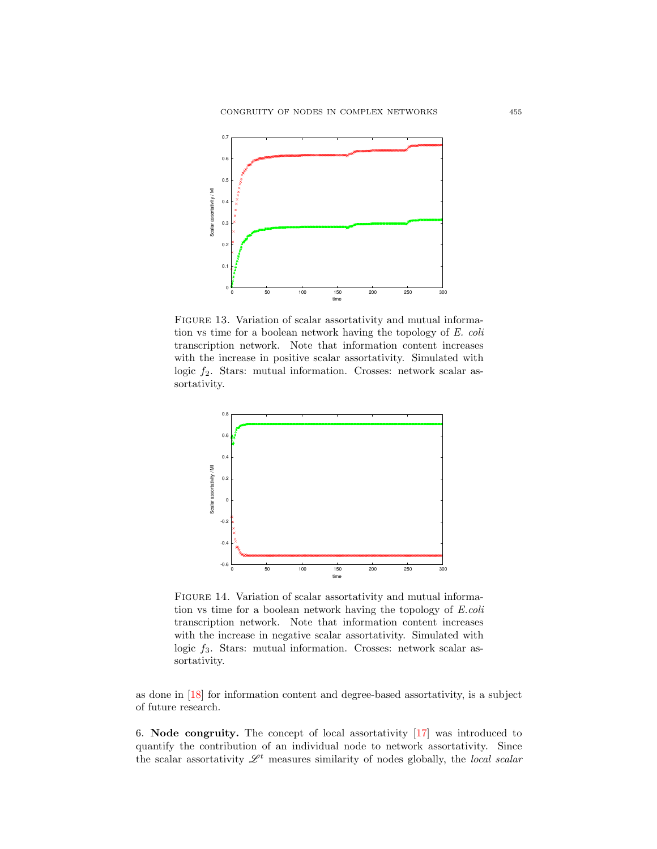

<span id="page-14-0"></span>FIGURE 13. Variation of scalar assortativity and mutual information vs time for a boolean network having the topology of E. coli transcription network. Note that information content increases with the increase in positive scalar assortativity. Simulated with logic  $f_2$ . Stars: mutual information. Crosses: network scalar assortativity.



<span id="page-14-1"></span>FIGURE 14. Variation of scalar assortativity and mutual information vs time for a boolean network having the topology of E.coli transcription network. Note that information content increases with the increase in negative scalar assortativity. Simulated with logic  $f_3$ . Stars: mutual information. Crosses: network scalar assortativity.

as done in [\[18\]](#page-20-11) for information content and degree-based assortativity, is a subject of future research.

6. Node congruity. The concept of local assortativity [\[17\]](#page-20-12) was introduced to quantify the contribution of an individual node to network assortativity. Since the scalar assortativity  $\mathscr{L}^t$  measures similarity of nodes globally, the local scalar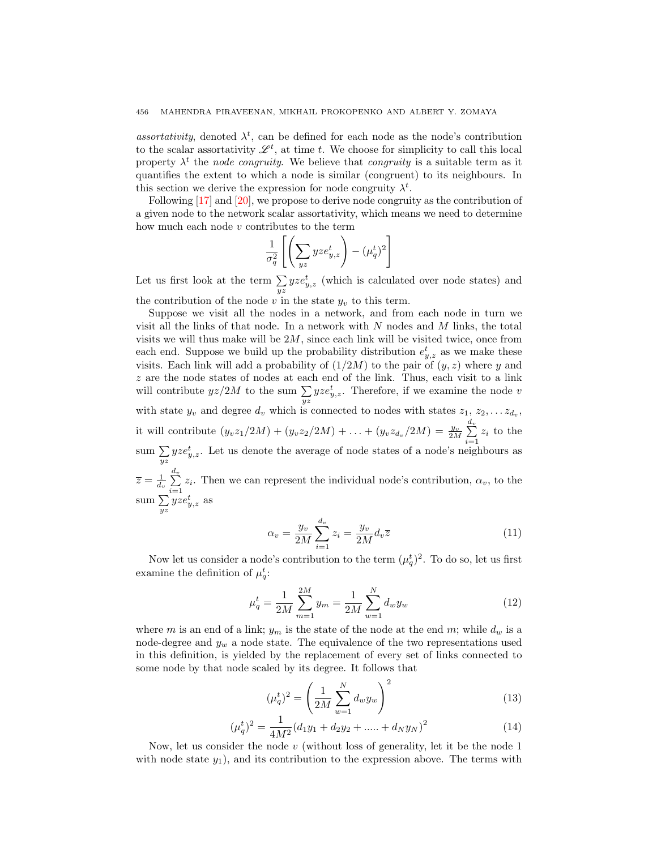assortativity, denoted  $\lambda^t$ , can be defined for each node as the node's contribution to the scalar assortativity  $\mathscr{L}^t$ , at time t. We choose for simplicity to call this local property  $\lambda^t$  the *node congruity*. We believe that *congruity* is a suitable term as it quantifies the extent to which a node is similar (congruent) to its neighbours. In this section we derive the expression for node congruity  $\lambda^t$ .

Following [\[17\]](#page-20-12) and [\[20\]](#page-20-20), we propose to derive node congruity as the contribution of a given node to the network scalar assortativity, which means we need to determine how much each node  $v$  contributes to the term

$$
\frac{1}{\sigma_q^2} \left[ \left( \sum_{yz} yze_{y,z}^t \right) - (\mu_q^t)^2 \right]
$$

Let us first look at the term  $\sum_{yz} yze_{y,z}^t$  (which is calculated over node states) and the contribution of the node  $v$  in the state  $y_v$  to this term.

Suppose we visit all the nodes in a network, and from each node in turn we

visit all the links of that node. In a network with  $N$  nodes and  $M$  links, the total visits we will thus make will be  $2M$ , since each link will be visited twice, once from each end. Suppose we build up the probability distribution  $e_{y,z}^t$  as we make these visits. Each link will add a probability of  $(1/2M)$  to the pair of  $(y, z)$  where y and z are the node states of nodes at each end of the link. Thus, each visit to a link will contribute  $yz/2M$  to the sum  $\sum_{yz} yze_{y,z}^t$ . Therefore, if we examine the node v with state  $y_v$  and degree  $d_v$  which is connected to nodes with states  $z_1, z_2, \ldots z_{d_v}$ , it will contribute  $(y_v z_1/2M) + (y_v z_2/2M) + \ldots + (y_v z_{d_v}/2M) = \frac{y_v}{2M} \sum_{i=1}^{d_v}$  $\sum_{i=1} z_i$  to the sum  $\sum_{yz} yze_{y,z}^t$ . Let us denote the average of node states of a node's neighbours as  $\overline{z} = \frac{1}{d_v} \sum_{i=1}^{d_v}$  $\sum_{i=1} z_i$ . Then we can represent the individual node's contribution,  $\alpha_v$ , to the sum  $\sum_{yz} yze_{y,z}^t$  as

<span id="page-15-0"></span>
$$
\alpha_v = \frac{y_v}{2M} \sum_{i=1}^{d_v} z_i = \frac{y_v}{2M} d_v \overline{z}
$$
\n(11)

Now let us consider a node's contribution to the term  $(\mu_q^t)^2$ . To do so, let us first examine the definition of  $\mu_q^t$ :

$$
\mu_q^t = \frac{1}{2M} \sum_{m=1}^{2M} y_m = \frac{1}{2M} \sum_{w=1}^N d_w y_w \tag{12}
$$

where m is an end of a link;  $y_m$  is the state of the node at the end m; while  $d_w$  is a node-degree and  $y_w$  a node state. The equivalence of the two representations used in this definition, is yielded by the replacement of every set of links connected to some node by that node scaled by its degree. It follows that

$$
(\mu_q^t)^2 = \left(\frac{1}{2M} \sum_{w=1}^N d_w y_w\right)^2
$$
\n(13)

$$
(\mu_q^t)^2 = \frac{1}{4M^2} (d_1 y_1 + d_2 y_2 + \dots + d_N y_N)^2
$$
 (14)

Now, let us consider the node v (without loss of generality, let it be the node 1 with node state  $y_1$ ), and its contribution to the expression above. The terms with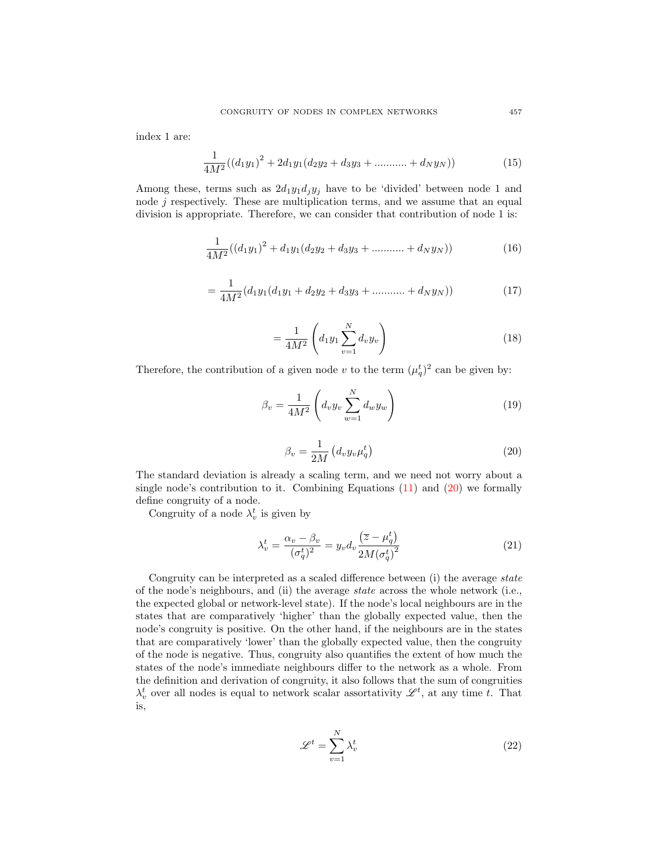index 1 are:

$$
\frac{1}{4M^2}((d_1y_1)^2 + 2d_1y_1(d_2y_2 + d_3y_3 + \dots + d_Ny_N))
$$
\n(15)

Among these, terms such as  $2d_1y_1d_jy_j$  have to be 'divided' between node 1 and node j respectively. These are multiplication terms, and we assume that an equal division is appropriate. Therefore, we can consider that contribution of node 1 is:

$$
\frac{1}{4M^2}((d_1y_1)^2 + d_1y_1(d_2y_2 + d_3y_3 + \dots + d_Ny_N))
$$
\n(16)

$$
= \frac{1}{4M^2} (d_1y_1(d_1y_1 + d_2y_2 + d_3y_3 + \dots + d_Ny_N))
$$
\n(17)

$$
=\frac{1}{4M^2}\left(d_1y_1\sum_{v=1}^N d_vy_v\right) \tag{18}
$$

Therefore, the contribution of a given node v to the term  $(\mu_q^t)^2$  can be given by:

$$
\beta_v = \frac{1}{4M^2} \left( d_v y_v \sum_{w=1}^N d_w y_w \right) \tag{19}
$$

<span id="page-16-0"></span>
$$
\beta_v = \frac{1}{2M} \left( d_v y_v \mu_q^t \right) \tag{20}
$$

The standard deviation is already a scaling term, and we need not worry about a single node's contribution to it. Combining Equations [\(11\)](#page-15-0) and [\(20\)](#page-16-0) we formally define congruity of a node.

Congruity of a node  $\lambda_v^t$  is given by

$$
\lambda_v^t = \frac{\alpha_v - \beta_v}{(\sigma_q^t)^2} = y_v d_v \frac{(\overline{z} - \mu_q^t)}{2M(\sigma_q^t)^2}
$$
\n(21)

Congruity can be interpreted as a scaled difference between (i) the average state of the node's neighbours, and (ii) the average state across the whole network (i.e., the expected global or network-level state). If the node's local neighbours are in the states that are comparatively 'higher' than the globally expected value, then the node's congruity is positive. On the other hand, if the neighbours are in the states that are comparatively 'lower' than the globally expected value, then the congruity of the node is negative. Thus, congruity also quantifies the extent of how much the states of the node's immediate neighbours differ to the network as a whole. From the definition and derivation of congruity, it also follows that the sum of congruities  $\lambda_v^t$  over all nodes is equal to network scalar assortativity  $\mathscr{L}^t$ , at any time t. That is,

$$
\mathcal{L}^t = \sum_{v=1}^N \lambda_v^t \tag{22}
$$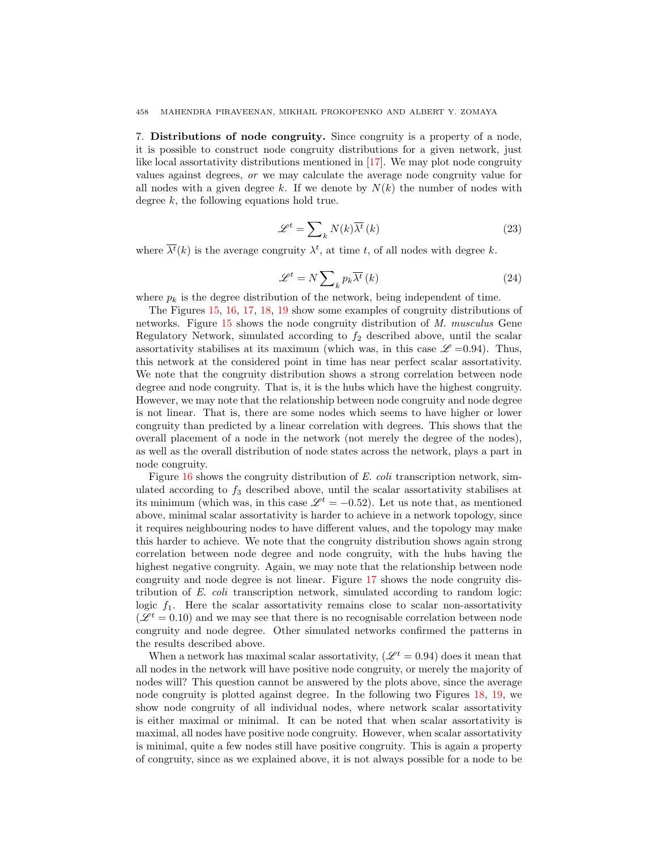7. Distributions of node congruity. Since congruity is a property of a node, it is possible to construct node congruity distributions for a given network, just like local assortativity distributions mentioned in [\[17\]](#page-20-12). We may plot node congruity values against degrees, or we may calculate the average node congruity value for all nodes with a given degree k. If we denote by  $N(k)$  the number of nodes with degree k, the following equations hold true.

$$
\mathcal{L}^t = \sum_{k} N(k) \overline{\lambda^t} \left( k \right) \tag{23}
$$

where  $\overline{\lambda^t}(k)$  is the average congruity  $\lambda^t$ , at time t, of all nodes with degree k.

$$
\mathcal{L}^t = N \sum_{k} p_k \overline{\lambda^t} \left( k \right) \tag{24}
$$

where  $p_k$  is the degree distribution of the network, being independent of time.

The Figures [15,](#page-18-0) [16,](#page-18-1) [17,](#page-18-2) [18,](#page-18-3) [19](#page-19-0) show some examples of congruity distributions of networks. Figure [15](#page-18-0) shows the node congruity distribution of M. musculus Gene Regulatory Network, simulated according to  $f_2$  described above, until the scalar assortativity stabilises at its maximum (which was, in this case  $\mathscr{L}$  =0.94). Thus, this network at the considered point in time has near perfect scalar assortativity. We note that the congruity distribution shows a strong correlation between node degree and node congruity. That is, it is the hubs which have the highest congruity. However, we may note that the relationship between node congruity and node degree is not linear. That is, there are some nodes which seems to have higher or lower congruity than predicted by a linear correlation with degrees. This shows that the overall placement of a node in the network (not merely the degree of the nodes), as well as the overall distribution of node states across the network, plays a part in node congruity.

Figure [16](#page-18-1) shows the congruity distribution of E. coli transcription network, simulated according to  $f_3$  described above, until the scalar assortativity stabilises at its minimum (which was, in this case  $\mathcal{L}^{t} = -0.52$ ). Let us note that, as mentioned above, minimal scalar assortativity is harder to achieve in a network topology, since it requires neighbouring nodes to have different values, and the topology may make this harder to achieve. We note that the congruity distribution shows again strong correlation between node degree and node congruity, with the hubs having the highest negative congruity. Again, we may note that the relationship between node congruity and node degree is not linear. Figure [17](#page-18-2) shows the node congruity distribution of E. coli transcription network, simulated according to random logic: logic  $f_1$ . Here the scalar assortativity remains close to scalar non-assortativity  $(\mathscr{L}^t = 0.10)$  and we may see that there is no recognisable correlation between node congruity and node degree. Other simulated networks confirmed the patterns in the results described above.

When a network has maximal scalar assortativity,  $(\mathscr{L}^t = 0.94)$  does it mean that all nodes in the network will have positive node congruity, or merely the majority of nodes will? This question cannot be answered by the plots above, since the average node congruity is plotted against degree. In the following two Figures [18,](#page-18-3) [19,](#page-19-0) we show node congruity of all individual nodes, where network scalar assortativity is either maximal or minimal. It can be noted that when scalar assortativity is maximal, all nodes have positive node congruity. However, when scalar assortativity is minimal, quite a few nodes still have positive congruity. This is again a property of congruity, since as we explained above, it is not always possible for a node to be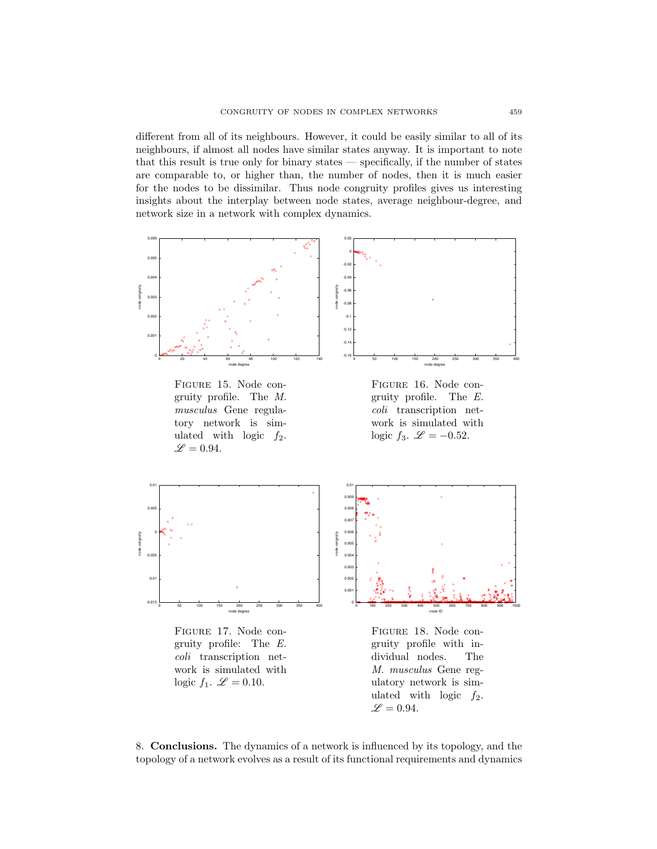different from all of its neighbours. However, it could be easily similar to all of its neighbours, if almost all nodes have similar states anyway. It is important to note that this result is true only for binary states — specifically, if the number of states are comparable to, or higher than, the number of nodes, then it is much easier for the nodes to be dissimilar. Thus node congruity profiles gives us interesting insights about the interplay between node states, average neighbour-degree, and network size in a network with complex dynamics.



<span id="page-18-0"></span>Figure 15. Node congruity profile. The M. musculus Gene regulatory network is simulated with logic  $f_2$ .  $\mathscr{L} = 0.94.$ 

<span id="page-18-1"></span>



<span id="page-18-2"></span>Figure 17. Node congruity profile: The E. coli transcription network is simulated with logic  $f_1$ .  $\mathscr{L} = 0.10$ .



<span id="page-18-3"></span>Figure 18. Node congruity profile with individual nodes. The M. musculus Gene regulatory network is simulated with logic  $f_2$ .  $\mathscr{L} = 0.94.$ 

8. Conclusions. The dynamics of a network is influenced by its topology, and the topology of a network evolves as a result of its functional requirements and dynamics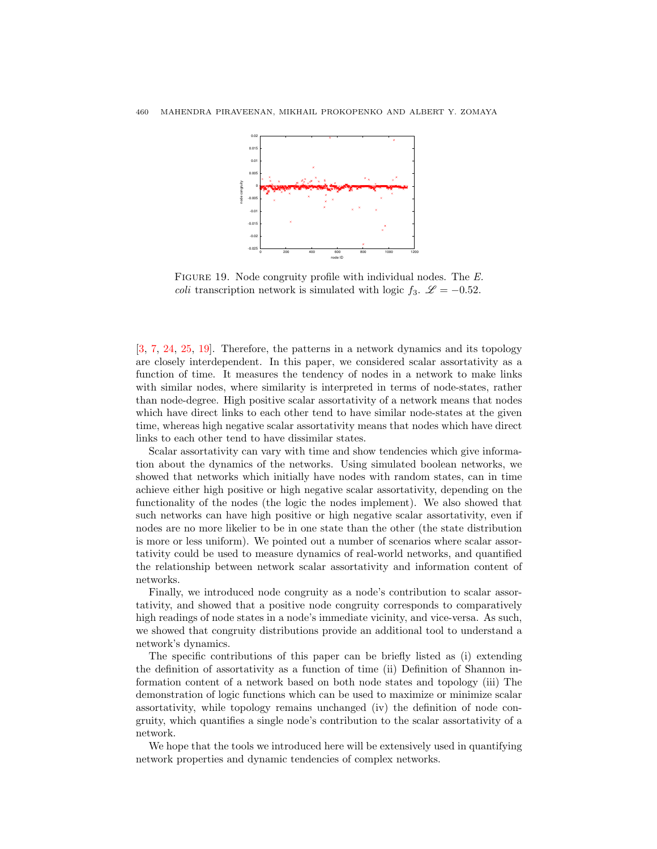

<span id="page-19-0"></span>FIGURE 19. Node congruity profile with individual nodes. The E. *coli* transcription network is simulated with logic  $f_3$ .  $\mathscr{L} = -0.52$ .

[\[3,](#page-20-14) [7,](#page-20-21) [24,](#page-20-22) [25,](#page-20-23) [19\]](#page-20-24). Therefore, the patterns in a network dynamics and its topology are closely interdependent. In this paper, we considered scalar assortativity as a function of time. It measures the tendency of nodes in a network to make links with similar nodes, where similarity is interpreted in terms of node-states, rather than node-degree. High positive scalar assortativity of a network means that nodes which have direct links to each other tend to have similar node-states at the given time, whereas high negative scalar assortativity means that nodes which have direct links to each other tend to have dissimilar states.

Scalar assortativity can vary with time and show tendencies which give information about the dynamics of the networks. Using simulated boolean networks, we showed that networks which initially have nodes with random states, can in time achieve either high positive or high negative scalar assortativity, depending on the functionality of the nodes (the logic the nodes implement). We also showed that such networks can have high positive or high negative scalar assortativity, even if nodes are no more likelier to be in one state than the other (the state distribution is more or less uniform). We pointed out a number of scenarios where scalar assortativity could be used to measure dynamics of real-world networks, and quantified the relationship between network scalar assortativity and information content of networks.

Finally, we introduced node congruity as a node's contribution to scalar assortativity, and showed that a positive node congruity corresponds to comparatively high readings of node states in a node's immediate vicinity, and vice-versa. As such, we showed that congruity distributions provide an additional tool to understand a network's dynamics.

The specific contributions of this paper can be briefly listed as (i) extending the definition of assortativity as a function of time (ii) Definition of Shannon information content of a network based on both node states and topology (iii) The demonstration of logic functions which can be used to maximize or minimize scalar assortativity, while topology remains unchanged (iv) the definition of node congruity, which quantifies a single node's contribution to the scalar assortativity of a network.

We hope that the tools we introduced here will be extensively used in quantifying network properties and dynamic tendencies of complex networks.